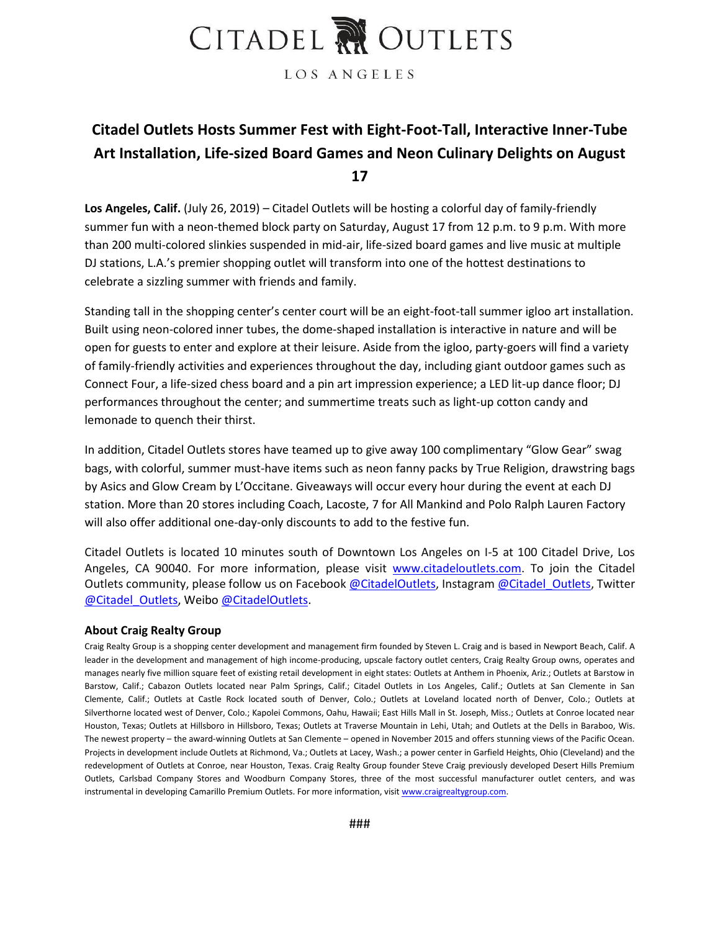## CITADEL NOUTLETS

LOS ANGELES

### **Citadel Outlets Hosts Summer Fest with Eight-Foot-Tall, Interactive Inner-Tube Art Installation, Life-sized Board Games and Neon Culinary Delights on August 17**

**Los Angeles, Calif.** (July 26, 2019) – Citadel Outlets will be hosting a colorful day of family-friendly summer fun with a neon-themed block party on Saturday, August 17 from 12 p.m. to 9 p.m. With more than 200 multi-colored slinkies suspended in mid-air, life-sized board games and live music at multiple DJ stations, L.A.'s premier shopping outlet will transform into one of the hottest destinations to celebrate a sizzling summer with friends and family.

Standing tall in the shopping center's center court will be an eight-foot-tall summer igloo art installation. Built using neon-colored inner tubes, the dome-shaped installation is interactive in nature and will be open for guests to enter and explore at their leisure. Aside from the igloo, party-goers will find a variety of family-friendly activities and experiences throughout the day, including giant outdoor games such as Connect Four, a life-sized chess board and a pin art impression experience; a LED lit-up dance floor; DJ performances throughout the center; and summertime treats such as light-up cotton candy and lemonade to quench their thirst.

In addition, Citadel Outlets stores have teamed up to give away 100 complimentary "Glow Gear" swag bags, with colorful, summer must-have items such as neon fanny packs by True Religion, drawstring bags by Asics and Glow Cream by L'Occitane. Giveaways will occur every hour during the event at each DJ station. More than 20 stores including Coach, Lacoste, 7 for All Mankind and Polo Ralph Lauren Factory will also offer additional one-day-only discounts to add to the festive fun.

Citadel Outlets is located 10 minutes south of Downtown Los Angeles on I-5 at 100 Citadel Drive, Los Angeles, CA 90040. For more information, please visit [www.citadeloutlets.com.](http://www.citadeloutlets.com/) To join the Citadel Outlets community, please follow us on Facebook [@CitadelOutlets,](http://www.facebook.com/CitadelOutlets) Instagram [@Citadel\\_Outlets,](file:///C:/Users/chartnett/AppData/Local/Microsoft/Windows/Temporary%20Internet%20Files/AppData/Local/Microsoft/Windows/Temporary%20Internet%20Files/Content.Outlook/AppData/Local/Microsoft/Windows/Shopping%20Extravaganza/2015/Public%20Relations/Macintosh%20HD:/Library/Caches/TemporaryItems/Outlook%20Temp/instagram.com/citadel_outlets) Twitter [@Citadel\\_Outlets,](file:///C:/Users/chartnett/AppData/Local/Microsoft/Windows/Temporary%20Internet%20Files/AppData/Local/Microsoft/Windows/Temporary%20Internet%20Files/Content.Outlook/AppData/Local/Microsoft/Windows/Shopping%20Extravaganza/2015/Public%20Relations/Macintosh%20HD:/Library/Caches/TemporaryItems/Outlook%20Temp/twitter.com/citadel_outlets) Weibo [@CitadelOutlets.](http://weibo.com/CitadelOutlets)

#### **About Craig Realty Group**

Craig Realty Group is a shopping center development and management firm founded by Steven L. Craig and is based in Newport Beach, Calif. A leader in the development and management of high income-producing, upscale factory outlet centers, Craig Realty Group owns, operates and manages nearly five million square feet of existing retail development in eight states: Outlets at Anthem in Phoenix, Ariz.; Outlets at Barstow in Barstow, Calif.; Cabazon Outlets located near Palm Springs, Calif.; Citadel Outlets in Los Angeles, Calif.; Outlets at San Clemente in San Clemente, Calif.; Outlets at Castle Rock located south of Denver, Colo.; Outlets at Loveland located north of Denver, Colo.; Outlets at Silverthorne located west of Denver, Colo.; Kapolei Commons, Oahu, Hawaii; East Hills Mall in St. Joseph, Miss.; Outlets at Conroe located near Houston, Texas; Outlets at Hillsboro in Hillsboro, Texas; Outlets at Traverse Mountain in Lehi, Utah; and Outlets at the Dells in Baraboo, Wis. The newest property – the award-winning Outlets at San Clemente – opened in November 2015 and offers stunning views of the Pacific Ocean. Projects in development include Outlets at Richmond, Va.; Outlets at Lacey, Wash.; a power center in Garfield Heights, Ohio (Cleveland) and the redevelopment of Outlets at Conroe, near Houston, Texas. Craig Realty Group founder Steve Craig previously developed Desert Hills Premium Outlets, Carlsbad Company Stores and Woodburn Company Stores, three of the most successful manufacturer outlet centers, and was instrumental in developing Camarillo Premium Outlets. For more information, visit [www.craigrealtygroup.com.](http://www.craigrealtygroup.com/)